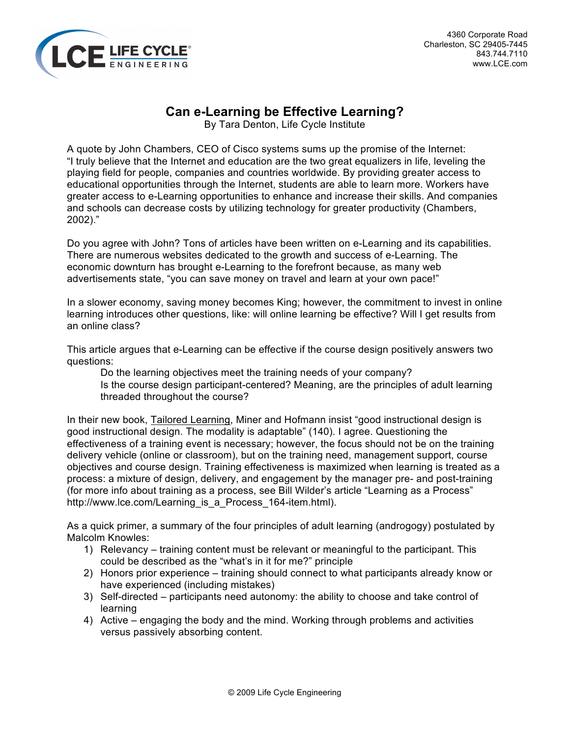

# **Can e-Learning be Effective Learning?**

By Tara Denton, Life Cycle Institute

A quote by John Chambers, CEO of Cisco systems sums up the promise of the Internet: "I truly believe that the Internet and education are the two great equalizers in life, leveling the playing field for people, companies and countries worldwide. By providing greater access to educational opportunities through the Internet, students are able to learn more. Workers have greater access to e-Learning opportunities to enhance and increase their skills. And companies and schools can decrease costs by utilizing technology for greater productivity (Chambers, 2002)."

Do you agree with John? Tons of articles have been written on e-Learning and its capabilities. There are numerous websites dedicated to the growth and success of e-Learning. The economic downturn has brought e-Learning to the forefront because, as many web advertisements state, "you can save money on travel and learn at your own pace!"

In a slower economy, saving money becomes King; however, the commitment to invest in online learning introduces other questions, like: will online learning be effective? Will I get results from an online class?

This article argues that e-Learning can be effective if the course design positively answers two questions:

Do the learning objectives meet the training needs of your company? Is the course design participant-centered? Meaning, are the principles of adult learning threaded throughout the course?

In their new book, Tailored Learning, Miner and Hofmann insist "good instructional design is good instructional design. The modality is adaptable" (140). I agree. Questioning the effectiveness of a training event is necessary; however, the focus should not be on the training delivery vehicle (online or classroom), but on the training need, management support, course objectives and course design. Training effectiveness is maximized when learning is treated as a process: a mixture of design, delivery, and engagement by the manager pre- and post-training (for more info about training as a process, see Bill Wilder's article "Learning as a Process" http://www.lce.com/Learning\_is\_a\_Process\_164-item.html).

As a quick primer, a summary of the four principles of adult learning (androgogy) postulated by Malcolm Knowles:

- 1) Relevancy training content must be relevant or meaningful to the participant. This could be described as the "what's in it for me?" principle
- 2) Honors prior experience training should connect to what participants already know or have experienced (including mistakes)
- 3) Self-directed participants need autonomy: the ability to choose and take control of learning
- 4) Active engaging the body and the mind. Working through problems and activities versus passively absorbing content.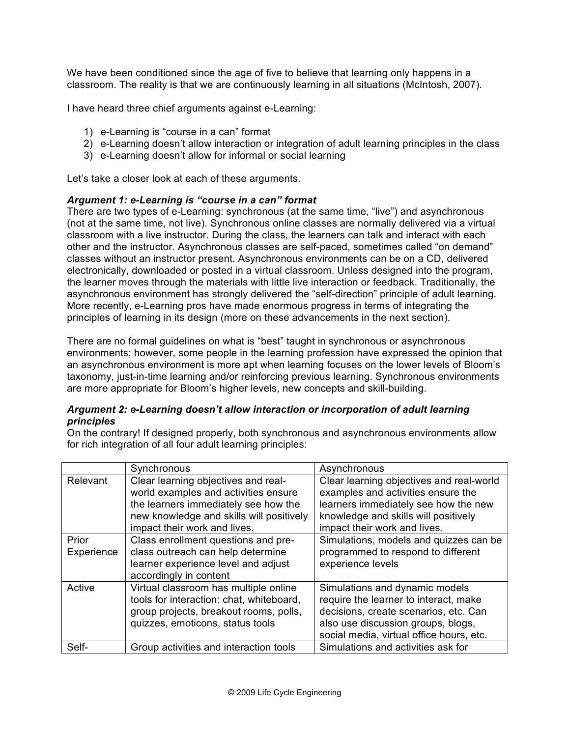We have been conditioned since the age of five to believe that learning only happens in a classroom. The reality is that we are continuously learning in all situations (McIntosh, 2007).

I have heard three chief arguments against e-Learning:

- 1) e-Learning is "course in a can" format
- 2) e-Learning doesn't allow interaction or integration of adult learning principles in the class
- 3) e-Learning doesn't allow for informal or social learning

Let's take a closer look at each of these arguments.

## *Argument 1: e-Learning is "course in a can" format*

There are two types of e-Learning: synchronous (at the same time, "live") and asynchronous (not at the same time, not live). Synchronous online classes are normally delivered via a virtual classroom with a live instructor. During the class, the learners can talk and interact with each other and the instructor. Asynchronous classes are self-paced, sometimes called "on demand" classes without an instructor present. Asynchronous environments can be on a CD, delivered electronically, downloaded or posted in a virtual classroom. Unless designed into the program, the learner moves through the materials with little live interaction or feedback. Traditionally, the asynchronous environment has strongly delivered the "self-direction" principle of adult learning. More recently, e-Learning pros have made enormous progress in terms of integrating the principles of learning in its design (more on these advancements in the next section).

There are no formal guidelines on what is "best" taught in synchronous or asynchronous environments; however, some people in the learning profession have expressed the opinion that an asynchronous environment is more apt when learning focuses on the lower levels of Bloom's taxonomy, just-in-time learning and/or reinforcing previous learning. Synchronous environments are more appropriate for Bloom's higher levels, new concepts and skill-building.

## *Argument 2: e-Learning doesn't allow interaction or incorporation of adult learning principles*

On the contrary! If designed properly, both synchronous and asynchronous environments allow for rich integration of all four adult learning principles:

|            | Synchronous                              | Asynchronous                             |
|------------|------------------------------------------|------------------------------------------|
| Relevant   | Clear learning objectives and real-      | Clear learning objectives and real-world |
|            | world examples and activities ensure     | examples and activities ensure the       |
|            | the learners immediately see how the     | learners immediately see how the new     |
|            | new knowledge and skills will positively | knowledge and skills will positively     |
|            | impact their work and lives.             | impact their work and lives.             |
| Prior      | Class enrollment questions and pre-      | Simulations, models and quizzes can be   |
| Experience | class outreach can help determine        | programmed to respond to different       |
|            | learner experience level and adjust      | experience levels                        |
|            | accordingly in content                   |                                          |
| Active     | Virtual classroom has multiple online    | Simulations and dynamic models           |
|            | tools for interaction: chat, whiteboard, | require the learner to interact, make    |
|            | group projects, breakout rooms, polls,   | decisions, create scenarios, etc. Can    |
|            | quizzes, emoticons, status tools         | also use discussion groups, blogs,       |
|            |                                          | social media, virtual office hours, etc. |
| Self-      | Group activities and interaction tools   | Simulations and activities ask for       |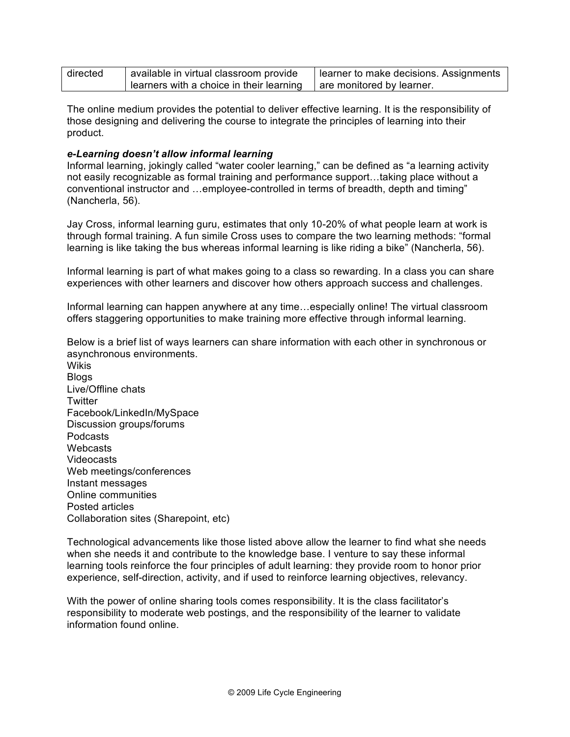| directed | available in virtual classroom provide     | learner to make decisions. Assignments |
|----------|--------------------------------------------|----------------------------------------|
|          | I learners with a choice in their learning | are monitored by learner.              |

The online medium provides the potential to deliver effective learning. It is the responsibility of those designing and delivering the course to integrate the principles of learning into their product.

#### *e-Learning doesn't allow informal learning*

Informal learning, jokingly called "water cooler learning," can be defined as "a learning activity not easily recognizable as formal training and performance support…taking place without a conventional instructor and …employee-controlled in terms of breadth, depth and timing" (Nancherla, 56).

Jay Cross, informal learning guru, estimates that only 10-20% of what people learn at work is through formal training. A fun simile Cross uses to compare the two learning methods: "formal learning is like taking the bus whereas informal learning is like riding a bike" (Nancherla, 56).

Informal learning is part of what makes going to a class so rewarding. In a class you can share experiences with other learners and discover how others approach success and challenges.

Informal learning can happen anywhere at any time…especially online! The virtual classroom offers staggering opportunities to make training more effective through informal learning.

Below is a brief list of ways learners can share information with each other in synchronous or asynchronous environments.

**Wikis** Blogs Live/Offline chats **Twitter** Facebook/LinkedIn/MySpace Discussion groups/forums Podcasts **Webcasts** Videocasts Web meetings/conferences Instant messages Online communities Posted articles Collaboration sites (Sharepoint, etc)

Technological advancements like those listed above allow the learner to find what she needs when she needs it and contribute to the knowledge base. I venture to say these informal learning tools reinforce the four principles of adult learning: they provide room to honor prior experience, self-direction, activity, and if used to reinforce learning objectives, relevancy.

With the power of online sharing tools comes responsibility. It is the class facilitator's responsibility to moderate web postings, and the responsibility of the learner to validate information found online.